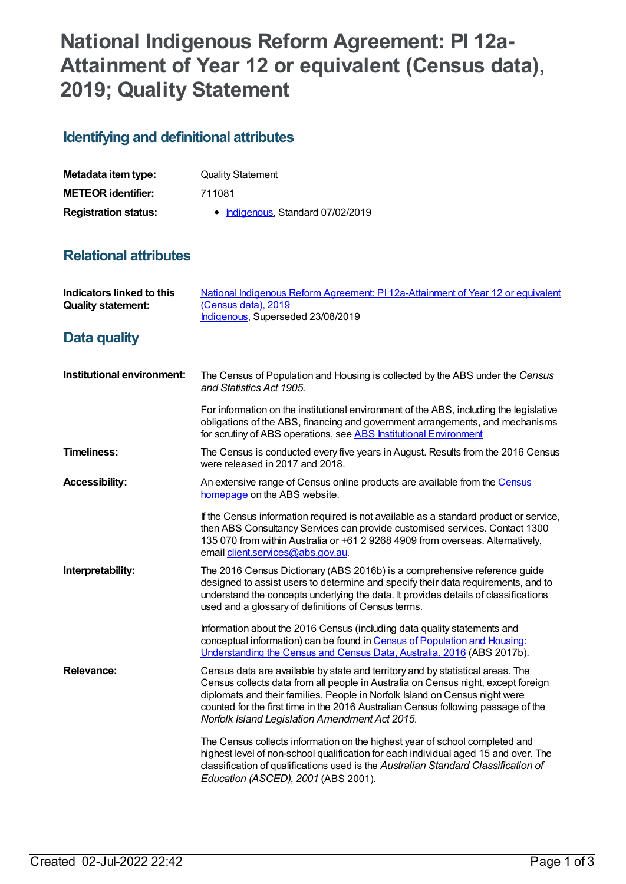# **National Indigenous Reform Agreement: PI 12a-Attainment of Year 12 or equivalent (Census data), 2019; Quality Statement**

## **Identifying and definitional attributes**

| Metadata item type:         | <b>Quality Statement</b>          |
|-----------------------------|-----------------------------------|
| <b>METEOR identifier:</b>   | 711081                            |
| <b>Registration status:</b> | • Indigenous, Standard 07/02/2019 |

### **Relational attributes**

| <b>Indicators linked to this</b><br><b>Quality statement:</b> | National Indigenous Reform Agreement: PI 12a-Attainment of Year 12 or equivalent<br>(Census data), 2019<br>Indigenous, Superseded 23/08/2019                                                                                                                                                                                                                                              |
|---------------------------------------------------------------|-------------------------------------------------------------------------------------------------------------------------------------------------------------------------------------------------------------------------------------------------------------------------------------------------------------------------------------------------------------------------------------------|
| Data quality                                                  |                                                                                                                                                                                                                                                                                                                                                                                           |
| Institutional environment:                                    | The Census of Population and Housing is collected by the ABS under the Census<br>and Statistics Act 1905.                                                                                                                                                                                                                                                                                 |
|                                                               | For information on the institutional environment of the ABS, including the legislative<br>obligations of the ABS, financing and government arrangements, and mechanisms<br>for scrutiny of ABS operations, see ABS Institutional Environment                                                                                                                                              |
| <b>Timeliness:</b>                                            | The Census is conducted every five years in August. Results from the 2016 Census<br>were released in 2017 and 2018.                                                                                                                                                                                                                                                                       |
| <b>Accessibility:</b>                                         | An extensive range of Census online products are available from the Census<br>homepage on the ABS website.                                                                                                                                                                                                                                                                                |
|                                                               | If the Census information required is not available as a standard product or service,<br>then ABS Consultancy Services can provide customised services. Contact 1300<br>135 070 from within Australia or +61 2 9268 4909 from overseas. Alternatively,<br>email client.services@abs.gov.au.                                                                                               |
| Interpretability:                                             | The 2016 Census Dictionary (ABS 2016b) is a comprehensive reference guide<br>designed to assist users to determine and specify their data requirements, and to<br>understand the concepts underlying the data. It provides details of classifications<br>used and a glossary of definitions of Census terms.                                                                              |
|                                                               | Information about the 2016 Census (including data quality statements and<br>conceptual information) can be found in Census of Population and Housing:<br>Understanding the Census and Census Data, Australia, 2016 (ABS 2017b).                                                                                                                                                           |
| <b>Relevance:</b>                                             | Census data are available by state and territory and by statistical areas. The<br>Census collects data from all people in Australia on Census night, except foreign<br>diplomats and their families. People in Norfolk Island on Census night were<br>counted for the first time in the 2016 Australian Census following passage of the<br>Norfolk Island Legislation Amendment Act 2015. |
|                                                               | The Census collects information on the highest year of school completed and<br>highest level of non-school qualification for each individual aged 15 and over. The<br>classification of qualifications used is the Australian Standard Classification of<br>Education (ASCED), 2001 (ABS 2001).                                                                                           |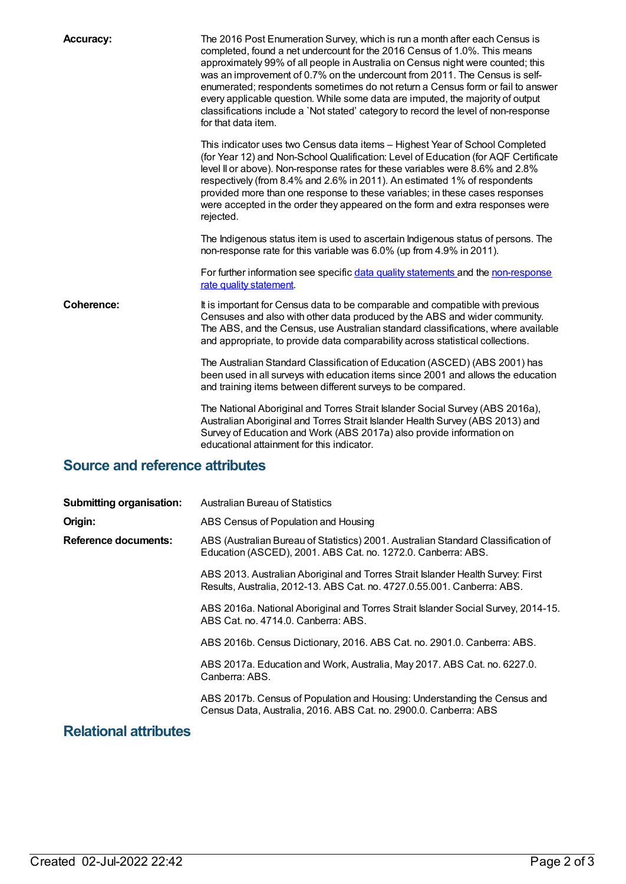| <b>Accuracy:</b>  | The 2016 Post Enumeration Survey, which is run a month after each Census is<br>completed, found a net undercount for the 2016 Census of 1.0%. This means<br>approximately 99% of all people in Australia on Census night were counted; this<br>was an improvement of 0.7% on the undercount from 2011. The Census is self-<br>enumerated; respondents sometimes do not return a Census form or fail to answer<br>every applicable question. While some data are imputed, the majority of output<br>classifications include a 'Not stated' category to record the level of non-response<br>for that data item. |
|-------------------|---------------------------------------------------------------------------------------------------------------------------------------------------------------------------------------------------------------------------------------------------------------------------------------------------------------------------------------------------------------------------------------------------------------------------------------------------------------------------------------------------------------------------------------------------------------------------------------------------------------|
|                   | This indicator uses two Census data items - Highest Year of School Completed<br>(for Year 12) and Non-School Qualification: Level of Education (for AQF Certificate<br>level II or above). Non-response rates for these variables were 8.6% and 2.8%<br>respectively (from 8.4% and 2.6% in 2011). An estimated 1% of respondents<br>provided more than one response to these variables; in these cases responses<br>were accepted in the order they appeared on the form and extra responses were<br>rejected.                                                                                               |
|                   | The Indigenous status item is used to ascertain Indigenous status of persons. The<br>non-response rate for this variable was 6.0% (up from 4.9% in 2011).                                                                                                                                                                                                                                                                                                                                                                                                                                                     |
|                   | For further information see specific data quality statements and the non-response<br>rate quality statement.                                                                                                                                                                                                                                                                                                                                                                                                                                                                                                  |
| <b>Coherence:</b> | It is important for Census data to be comparable and compatible with previous<br>Censuses and also with other data produced by the ABS and wider community.<br>The ABS, and the Census, use Australian standard classifications, where available<br>and appropriate, to provide data comparability across statistical collections.                                                                                                                                                                                                                                                                            |
|                   | The Australian Standard Classification of Education (ASCED) (ABS 2001) has<br>been used in all surveys with education items since 2001 and allows the education<br>and training items between different surveys to be compared.                                                                                                                                                                                                                                                                                                                                                                               |
|                   | The National Aboriginal and Torres Strait Islander Social Survey (ABS 2016a),<br>Australian Aboriginal and Torres Strait Islander Health Survey (ABS 2013) and<br>Survey of Education and Work (ABS 2017a) also provide information on<br>educational attainment for this indicator.                                                                                                                                                                                                                                                                                                                          |

## **Source and reference attributes**

| <b>Submitting organisation:</b> | <b>Australian Bureau of Statistics</b>                                                                                                                     |
|---------------------------------|------------------------------------------------------------------------------------------------------------------------------------------------------------|
| Origin:                         | ABS Census of Population and Housing                                                                                                                       |
| Reference documents:            | ABS (Australian Bureau of Statistics) 2001. Australian Standard Classification of<br>Education (ASCED), 2001. ABS Cat. no. 1272.0. Canberra: ABS.          |
|                                 | ABS 2013. Australian Aboriginal and Torres Strait Islander Health Survey: First<br>Results, Australia, 2012-13. ABS Cat. no. 4727.0.55.001. Canberra: ABS. |
|                                 | ABS 2016a. National Aboriginal and Torres Strait Islander Social Survey, 2014-15.<br>ABS Cat. no. 4714.0. Canberra: ABS.                                   |
|                                 | ABS 2016b. Census Dictionary, 2016. ABS Cat. no. 2901.0. Canberra: ABS.                                                                                    |
|                                 | ABS 2017a. Education and Work, Australia, May 2017. ABS Cat. no. 6227.0.<br>Canberra: ABS.                                                                 |
|                                 | ABS 2017b. Census of Population and Housing: Understanding the Census and<br>Census Data, Australia, 2016. ABS Cat. no. 2900.0. Canberra: ABS              |
|                                 |                                                                                                                                                            |

#### **Relational attributes**